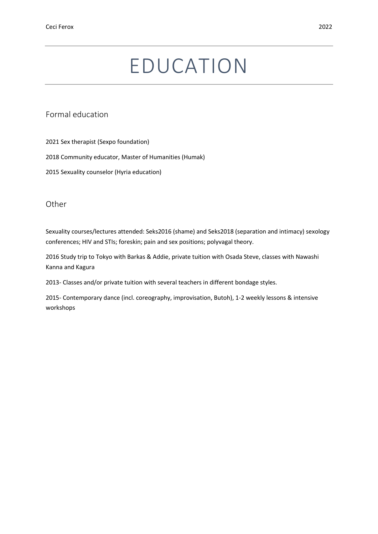# EDUCATION

Formal education

2021 Sex therapist (Sexpo foundation)

2018 Community educator, Master of Humanities (Humak)

2015 Sexuality counselor (Hyria education)

**Other** 

Sexuality courses/lectures attended: Seks2016 (shame) and Seks2018 (separation and intimacy) sexology conferences; HIV and STIs; foreskin; pain and sex positions; polyvagal theory.

2016 Study trip to Tokyo with Barkas & Addie, private tuition with Osada Steve, classes with Nawashi Kanna and Kagura

2013- Classes and/or private tuition with several teachers in different bondage styles.

2015- Contemporary dance (incl. coreography, improvisation, Butoh), 1-2 weekly lessons & intensive workshops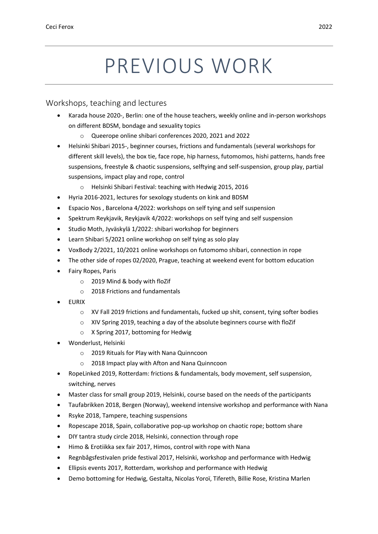# PREVIOUS WORK

#### Workshops, teaching and lectures

- Karada house 2020-, Berlin: one of the house teachers, weekly online and in-person workshops on different BDSM, bondage and sexuality topics
	- o Queerope online shibari conferences 2020, 2021 and 2022
- Helsinki Shibari 2015-, beginner courses, frictions and fundamentals (several workshops for different skill levels), the box tie, face rope, hip harness, futomomos, hishi patterns, hands free suspensions, freestyle & chaotic suspensions, selftying and self-suspension, group play, partial suspensions, impact play and rope, control
	- o Helsinki Shibari Festival: teaching with Hedwig 2015, 2016
- Hyria 2016-2021, lectures for sexology students on kink and BDSM
- Espacio Nos , Barcelona 4/2022: workshops on self tying and self suspension
- Spektrum Reykjavik, Reykjavik 4/2022: workshops on self tying and self suspension
- Studio Moth, Jyväskylä 1/2022: shibari workshop for beginners
- Learn Shibari 5/2021 online workshop on self tying as solo play
- VoxBody 2/2021, 10/2021 online workshops on futomomo shibari, connection in rope
- The other side of ropes 02/2020, Prague, teaching at weekend event for bottom education
- Fairy Ropes, Paris
	- o 2019 Mind & body with floZif
	- o 2018 Frictions and fundamentals
- EURIX
	- o XV Fall 2019 frictions and fundamentals, fucked up shit, consent, tying softer bodies
	- o XIV Spring 2019, teaching a day of the absolute beginners course with floZif
	- o X Spring 2017, bottoming for Hedwig
- Wonderlust, Helsinki
	- o 2019 Rituals for Play with Nana Quinncoon
	- o 2018 Impact play with Afton and Nana Quinncoon
- RopeLinked 2019, Rotterdam: frictions & fundamentals, body movement, self suspension, switching, nerves
- Master class for small group 2019, Helsinki, course based on the needs of the participants
- Taufabrikken 2018, Bergen (Norway), weekend intensive workshop and performance with Nana
- Rsyke 2018, Tampere, teaching suspensions
- Ropescape 2018, Spain, collaborative pop-up workshop on chaotic rope; bottom share
- DIY tantra study circle 2018, Helsinki, connection through rope
- Himo & Erotiikka sex fair 2017, Himos, control with rope with Nana
- Regnbågsfestivalen pride festival 2017, Helsinki, workshop and performance with Hedwig
- Ellipsis events 2017, Rotterdam, workshop and performance with Hedwig
- Demo bottoming for Hedwig, Gestalta, Nicolas Yoroï, Tifereth, Billie Rose, Kristina Marlen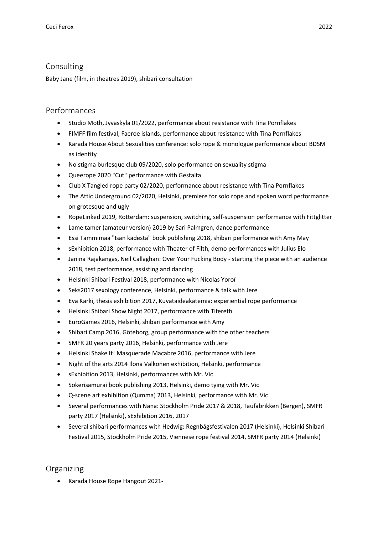### Consulting

Baby Jane (film, in theatres 2019), shibari consultation

### Performances

- Studio Moth, Jyväskylä 01/2022, performance about resistance with Tina Pornflakes
- FIMFF film festival, Faeroe islands, performance about resistance with Tina Pornflakes
- Karada House About Sexualities conference: solo rope & monologue performance about BDSM as identity
- No stigma burlesque club 09/2020, solo performance on sexuality stigma
- Queerope 2020 "Cut" performance with Gestalta
- Club X Tangled rope party 02/2020, performance about resistance with Tina Pornflakes
- The Attic Underground 02/2020, Helsinki, premiere for solo rope and spoken word performance on grotesque and ugly
- RopeLinked 2019, Rotterdam: suspension, switching, self-suspension performance with Fittglitter
- Lame tamer (amateur version) 2019 by Sari Palmgren, dance performance
- Essi Tammimaa "Isän kädestä" book publishing 2018, shibari performance with Amy May
- sExhibition 2018, performance with Theater of Filth, demo performances with Julius Elo
- Janina Rajakangas, Neil Callaghan: Over Your Fucking Body starting the piece with an audience 2018, test performance, assisting and dancing
- Helsinki Shibari Festival 2018, performance with Nicolas Yoroï
- Seks2017 sexology conference, Helsinki, performance & talk with Jere
- Eva Kärki, thesis exhibition 2017, Kuvataideakatemia: experiential rope performance
- Helsinki Shibari Show Night 2017, performance with Tifereth
- EuroGames 2016, Helsinki, shibari performance with Amy
- Shibari Camp 2016, Göteborg, group performance with the other teachers
- SMFR 20 years party 2016, Helsinki, performance with Jere
- Helsinki Shake It! Masquerade Macabre 2016, performance with Jere
- Night of the arts 2014 Ilona Valkonen exhibition, Helsinki, performance
- sExhibition 2013, Helsinki, performances with Mr. Vic
- Sokerisamurai book publishing 2013, Helsinki, demo tying with Mr. Vic
- Q-scene art exhibition (Qumma) 2013, Helsinki, performance with Mr. Vic
- Several performances with Nana: Stockholm Pride 2017 & 2018, Taufabrikken (Bergen), SMFR party 2017 (Helsinki), sExhibition 2016, 2017
- Several shibari performances with Hedwig: Regnbågsfestivalen 2017 (Helsinki), Helsinki Shibari Festival 2015, Stockholm Pride 2015, Viennese rope festival 2014, SMFR party 2014 (Helsinki)

## Organizing

• Karada House Rope Hangout 2021-